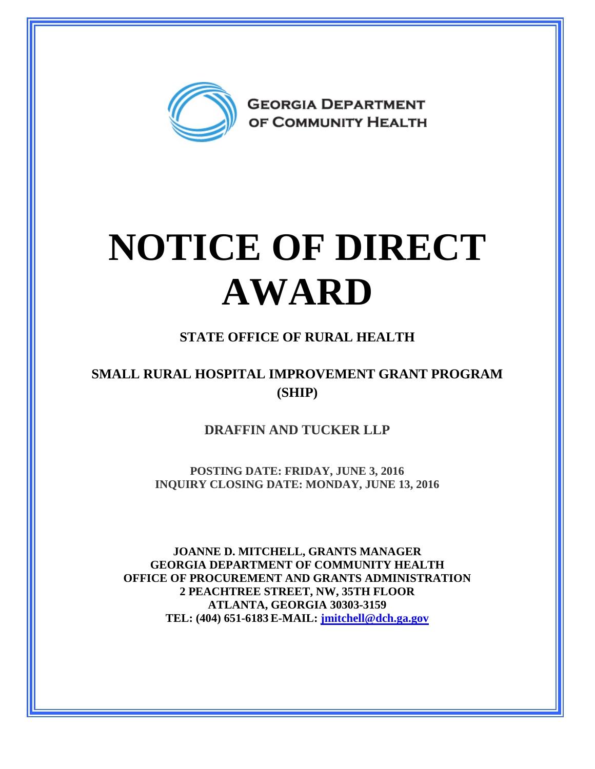

## **NOTICE OF DIRECT AWARD**

## **STATE OFFICE OF RURAL HEALTH**

## **SMALL RURAL HOSPITAL IMPROVEMENT GRANT PROGRAM (SHIP)**

**DRAFFIN AND TUCKER LLP** 

**POSTING DATE: FRIDAY, JUNE 3, 2016 INQUIRY CLOSING DATE: MONDAY, JUNE 13, 2016** 

**JOANNE D. MITCHELL, GRANTS MANAGER GEORGIA DEPARTMENT OF COMMUNITY HEALTH OFFICE OF PROCUREMENT AND GRANTS ADMINISTRATION 2 PEACHTREE STREET, NW, 35TH FLOOR ATLANTA, GEORGIA 30303-3159 TEL: (404) 651-6183 E-MAIL: [jmitchell@dch.ga.gov](mailto:awatson@dch.ga.gov)**